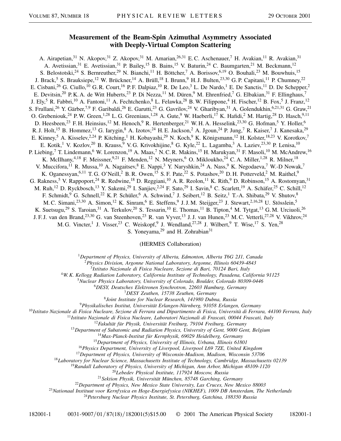## **Measurement of the Beam-Spin Azimuthal Asymmetry Associated with Deeply-Virtual Compton Scattering**

A. Airapetian,<sup>31</sup> N. Akopov,<sup>31</sup> Z. Akopov,<sup>31</sup> M. Amarian,<sup>26,31</sup> E.C. Aschenauer,<sup>7</sup> H. Avakian,<sup>11</sup> R. Avakian,<sup>31</sup> A. Avetissian,<sup>31</sup> E. Avetissian,<sup>31</sup> P. Bailey,<sup>15</sup> B. Bains,<sup>15</sup> V. Baturin,<sup>24</sup> C. Baumgarten,<sup>21</sup> M. Beckmann,<sup>12</sup> S. Belostotski,<sup>24</sup> S. Bernreuther,<sup>29</sup> N. Bianchi,<sup>11</sup> H. Böttcher,<sup>7</sup> A. Borissov,<sup>6,19</sup> O. Bouhali,<sup>23</sup> M. Bouwhuis,<sup>15</sup> J. Brack,<sup>5</sup> S. Brauksiepe,<sup>12</sup> W. Brückner,<sup>14</sup> A. Brüll,<sup>18</sup> I. Brunn,<sup>9</sup> H. J. Bulten,<sup>23,30</sup> G. P. Capitani,<sup>11</sup> P. Chumney,<sup>22</sup> E. Cisbani,<sup>26</sup> G. Ciullo,<sup>10</sup> G. R. Court,<sup>16</sup> P. F. Dalpiaz,<sup>10</sup> R. De Leo,<sup>3</sup> L. De Nardo,<sup>1</sup> E. De Sanctis,<sup>11</sup> D. De Schepper,<sup>2</sup> E. Devitsin,<sup>20</sup> P. K. A. de Witt Huberts,<sup>23</sup> P. Di Nezza,<sup>11</sup> M. Düren,<sup>9</sup> M. Ehrenfried,<sup>7</sup> G. Elbakian,<sup>31</sup> F. Ellinghaus,<sup>7</sup> J. Ely,<sup>5</sup> R. Fabbri,<sup>10</sup> A. Fantoni,<sup>11</sup> A. Fechtchenko,<sup>8</sup> L. Felawka,<sup>28</sup> B. W. Filippone,<sup>4</sup> H. Fischer,<sup>12</sup> B. Fox,<sup>5</sup> J. Franz,<sup>12</sup> S. Frullani,<sup>26</sup> Y. Gärber,<sup>7,9</sup> F. Garibaldi,<sup>26</sup> E. Garutti,<sup>23</sup> G. Gavrilov,<sup>24</sup> V. Gharibyan,<sup>31</sup> A. Golendukhin,<sup>6,21,31</sup> G. Graw,<sup>21</sup> O. Grebeniouk,<sup>24</sup> P. W. Green,<sup>1,28</sup> L. G. Greeniaus,<sup>1,28</sup> A. Gute,<sup>9</sup> W. Haeberli,<sup>17</sup> K. Hafidi,<sup>2</sup> M. Hartig,<sup>28</sup> D. Hasch,<sup>9,11</sup> D. Heesbeen,<sup>23</sup> F.H. Heinsius,<sup>12</sup> M. Henoch,<sup>9</sup> R. Hertenberger,<sup>21</sup> W.H.A. Hesselink,<sup>23,30</sup> G. Hofman,<sup>5</sup> Y. Holler,<sup>6</sup> R. J. Holt,<sup>15</sup> B. Hommez,<sup>13</sup> G. Iarygin,<sup>8</sup> A. Izotov,<sup>24</sup> H. E. Jackson,<sup>2</sup> A. Jgoun,<sup>24</sup> P. Jung,<sup>7</sup> R. Kaiser,<sup>7</sup> J. Kanesaka,<sup>29</sup> E. Kinney,<sup>5</sup> A. Kisselev,<sup>2,24</sup> P. Kitching,<sup>1</sup> H. Kobayashi,<sup>29</sup> N. Koch,<sup>9</sup> K. Königsmann,<sup>12</sup> H. Kolster,<sup>18,23</sup> V. Korotkov,<sup>7</sup> E. Kotik,<sup>1</sup> V. Kozlov,<sup>20</sup> B. Krauss,<sup>9</sup> V. G. Krivokhijine,<sup>8</sup> G. Kyle,<sup>22</sup> L. Lagamba,<sup>3</sup> A. Laziev,<sup>23,30</sup> P. Lenisa,<sup>10</sup> P. Liebing,<sup>7</sup> T. Lindemann,<sup>6</sup> W. Lorenzon,<sup>19</sup> A. Maas,<sup>7</sup> N. C. R. Makins,<sup>15</sup> H. Marukyan,<sup>31</sup> F. Masoli,<sup>10</sup> M. McAndrew,<sup>16</sup> K. McIlhany,<sup>4,18</sup> F. Meissner,<sup>9,21</sup> F. Menden,<sup>12</sup> N. Meyners,<sup>6</sup> O. Mikloukho,<sup>24</sup> C. A. Miller,<sup>1,28</sup> R. Milner,<sup>18</sup> V. Muccifora,<sup>11</sup> R. Mussa,<sup>10</sup> A. Nagaitsev, <sup>8</sup> E. Nappi, <sup>3</sup> Y. Naryshkin, <sup>24</sup> A. Nass, <sup>9</sup> K. Negodaeva, <sup>7</sup> W.-D Nowak, <sup>7</sup> K. Oganessyan,<sup>6,11</sup> T. G. O'Neill,<sup>2</sup> B. R. Owen,<sup>15</sup> S. F. Pate,<sup>22</sup> S. Potashov,<sup>20</sup> D. H. Potterveld,<sup>2</sup> M. Raithel,<sup>9</sup> G. Rakness,<sup>5</sup> V. Rappoport,<sup>24</sup> R. Redwine,<sup>18</sup> D. Reggiani,<sup>10</sup> A. R. Reolon,<sup>11</sup> K. Rith,<sup>9</sup> D. Robinson,<sup>15</sup> A. Rostomyan,<sup>31</sup> M. Ruh,<sup>12</sup> D. Ryckbosch,<sup>13</sup> Y. Sakemi,<sup>29</sup> I. Sanjiev,<sup>2,24</sup> F. Sato,<sup>29</sup> I. Savin,<sup>8</sup> C. Scarlett,<sup>19</sup> A. Schäfer,<sup>25</sup> C. Schill,<sup>12</sup> F. Schmidt,<sup>9</sup> G. Schnell,<sup>22</sup> K. P. Schüler,<sup>6</sup> A. Schwind,<sup>7</sup> J. Seibert,<sup>12</sup> B. Seitz,<sup>1</sup> T.-A. Shibata,<sup>29</sup> V. Shutov,<sup>8</sup> M. C. Simani,<sup>23,30</sup> A. Simon,<sup>12</sup> K. Sinram,<sup>6</sup> E. Steffens,<sup>9</sup> J. J. M. Steijger,<sup>23</sup> J. Stewart,<sup>2,16,28</sup> U. Stösslein,<sup>5</sup> K. Suetsugu,<sup>29</sup> S. Taroian,<sup>31</sup> A. Terkulov,<sup>20</sup> S. Tessarin,<sup>10</sup> E. Thomas,<sup>11</sup> B. Tipton,<sup>4</sup> M. Tytgat,<sup>13</sup> G. M. Urciuoli,<sup>26</sup> J. F. J. van den Brand,<sup>23,30</sup> G. van Steenhoven,<sup>23</sup> R. van Vyver,<sup>13</sup> J. J. van Hunen,<sup>23</sup> M. C. Vetterli,<sup>27,28</sup> V. Vikhrov,<sup>24</sup> M. G. Vincter,<sup>1</sup> J. Visser,<sup>23</sup> C. Weiskopf,<sup>9</sup> J. Wendland,<sup>27,28</sup> J. Wilbert,<sup>9</sup> T. Wise,<sup>17</sup> S. Yen,<sup>28</sup> S. Yoneyama,  $^{29}$  and H. Zohrabian<sup>31</sup>

(HERMES Collaboration)

<sup>1</sup>*Department of Physics, University of Alberta, Edmonton, Alberta T6G 2J1, Canada*

<sup>2</sup>*Physics Division, Argonne National Laboratory, Argonne, Illinois 60439-4843*

<sup>3</sup>*Istituto Nazionale di Fisica Nucleare, Sezione di Bari, 70124 Bari, Italy*

<sup>4</sup>*W. K. Kellogg Radiation Laboratory, California Institute of Technology, Pasadena, California 91125*

<sup>5</sup>*Nuclear Physics Laboratory, University of Colorado, Boulder, Colorado 80309-0446*

<sup>6</sup>*DESY, Deutsches Elektronen Synchrotron, 22603 Hamburg, Germany*

<sup>7</sup>*DESY Zeuthen, 15738 Zeuthen, Germany*

<sup>8</sup>*Joint Institute for Nuclear Research, 141980 Dubna, Russia*

<sup>9</sup>*Physikalisches Institut, Universität Erlangen-Nürnberg, 91058 Erlangen, Germany*

<sup>10</sup>*Istituto Nazionale di Fisica Nucleare, Sezione di Ferrara and Dipartimento di Fisica, Università di Ferrara, 44100 Ferrara, Italy*

<sup>11</sup>*Istituto Nazionale di Fisica Nucleare, Laboratori Nazionali di Frascati, 00044 Frascati, Italy*

<sup>12</sup>*Fakultät für Physik, Universität Freiburg, 79104 Freiburg, Germany*

<sup>13</sup>*Department of Subatomic and Radiation Physics, University of Gent, 9000 Gent, Belgium*

<sup>14</sup>*Max-Planck-Institut für Kernphysik, 69029 Heidelberg, Germany*

<sup>15</sup>*Department of Physics, University of Illinois, Urbana, Illinois 61801*

<sup>16</sup>*Physics Department, University of Liverpool, Liverpool L69 7ZE, United Kingdom*

<sup>17</sup>*Department of Physics, University of Wisconsin-Madison, Madison, Wisconsin 53706*

<sup>18</sup>*Laboratory for Nuclear Science, Massachusetts Institute of Technology, Cambridge, Massachusetts 02139*

<sup>19</sup>*Randall Laboratory of Physics, University of Michigan, Ann Arbor, Michigan 48109-1120*

<sup>20</sup>*Lebedev Physical Institute, 117924 Moscow, Russia*

<sup>21</sup>*Sektion Physik, Universität München, 85748 Garching, Germany*

<sup>22</sup>*Department of Physics, New Mexico State University, Las Cruces, New Mexico 88003*

<sup>23</sup>*Nationaal Instituut voor Kernfysica en Hoge-Energiefysica (NIKHEF), 1009 DB Amsterdam, The Netherlands*

<sup>24</sup>*Petersburg Nuclear Physics Institute, St. Petersburg, Gatchina, 188350 Russia*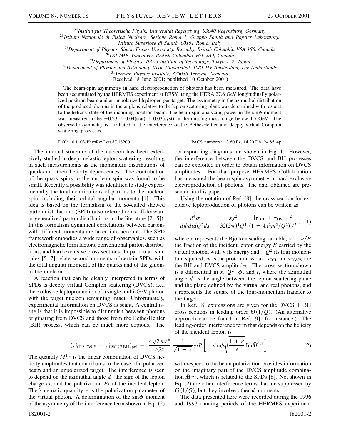<sup>25</sup>*Institut für Theoretische Physik, Universität Regensburg, 93040 Regensburg, Germany*

<sup>26</sup>*Istituto Nazionale di Fisica Nucleare, Sezione Roma 1, Gruppo Sanità and Physics Laboratory,*

<sup>27</sup>*Department of Physics, Simon Fraser University, Burnaby, British Columbia V5A 1S6, Canada*

<sup>29</sup>*Department of Physics, Tokyo Institute of Technology, Tokyo 152, Japan*

<sup>30</sup>*Department of Physics and Astronomy, Vrije Universiteit, 1081 HV Amsterdam, The Netherlands*

<sup>31</sup>*Yerevan Physics Institute, 375036 Yerevan, Armenia*

(Received 18 June 2001; published 10 October 2001)

The beam-spin asymmetry in hard electroproduction of photons has been measured. The data have been accumulated by the HERMES experiment at DESY using the HERA 27.6 GeV longitudinally polarized positron beam and an unpolarized hydrogen-gas target. The asymmetry in the azimuthal distribution of the produced photons in the angle  $\phi$  relative to the lepton scattering plane was determined with respect to the helicity state of the incoming positron beam. The beam-spin analyzing power in the  $\sin \phi$  moment was measured to be  $-0.23 \pm 0.04$ (stat)  $\pm 0.03$ (syst) in the missing-mass range below 1.7 GeV. The observed asymmetry is attributed to the interference of the Bethe-Heitler and deeply virtual Compton scattering processes.

The internal structure of the nucleon has been extensively studied in deep-inelastic lepton scattering, resulting in such measurements as the momentum distributions of quarks and their helicity dependences. The contribution of the quark spins to the nucleon spin was found to be small. Recently a possibility was identified to study experimentally the total contributions of partons to the nucleon spin, including their orbital angular momenta [1]. This idea is based on the formalism of the so-called skewed parton distributions (SPD) (also referred to as off-forward or generalized parton distributions in the literature [2–5]). In this formalism dynamical correlations between partons with different momenta are taken into account. The SPD framework embodies a wide range of observables, such as electromagnetic form factors, conventional parton distributions, and hard exclusive cross sections. In particular, sum rules [5–7] relate second moments of certain SPDs with the total angular momenta of the quarks and of the gluons in the nucleon.

A reaction that can be cleanly interpreted in terms of SPDs is deeply virtual Compton scattering (DVCS), i.e., the exclusive leptoproduction of a single multi-GeV photon with the target nucleon remaining intact. Unfortunately, experimental information on DVCS is scant. A central issue is that it is impossible to distinguish between photons originating from DVCS and those from the Bethe-Heitler (BH) process, which can be much more copious. The

$$
(\tau_{\text{BH}}^* \tau_{\text{DVCS}} + \tau_{\text{DVCS}}^* \tau_{\text{BH}})_{\text{pol}} = \frac{4\sqrt{2}me^6}{tQx}
$$

The quantity  $\tilde{M}^{1,1}$  is the linear combination of DVCS helicity amplitudes that contributes to the case of a polarized beam and an unpolarized target. The interference is seen to depend on the azimuthal angle  $\phi$ , the sign of the lepton charge  $e_l$ , and the polarization  $P_l$  of the incident lepton. The kinematic quantity  $\epsilon$  is the polarization parameter of the virtual photon. A determination of the sin $\phi$  moment of the asymmetry of the interference term shown in Eq. (2)

DOI: 10.1103/PhysRevLett.87.182001 PACS numbers: 13.60.Fz, 14.20.Dh, 24.85. +p

corresponding diagrams are shown in Fig. 1. However, the interference between the DVCS and BH processes can be exploited in order to obtain information on DVCS amplitudes. For that purpose HERMES Collaboration has measured the beam-spin asymmetry in hard exclusive electroproduction of photons. The data obtained are presented in this paper.

Using the notation of Ref. [8], the cross section for exclusive leptoproduction of photons can be written as

$$
\frac{d^4\sigma}{d\phi dt dQ^2 dx} = \frac{xy^2}{32(2\pi)^4 Q^4} \frac{|\tau_{\rm BH} + \tau_{\rm DVCS}|^2}{(1 + 4x^2 m^2/Q^2)^{1/2}}, \quad (1)
$$

where *x* represents the Bjorken scaling variable,  $y = \nu/E$ the fraction of the incident lepton energy *E* carried by the virtual photon, with  $\nu$  its energy and  $-Q^2$  its four momentum squared, *m* is the proton mass, and  $\tau_{BH}$  and  $\tau_{DVCS}$  are the BH and DVCS amplitudes. The cross section shown is a differential in *x*,  $Q^2$ ,  $\phi$ , and *t*, where the azimuthal angle  $\phi$  is the angle between the lepton scattering plane and the plane defined by the virtual and real photons, and *t* represents the square of the four-momentum transfer to the target.

In Ref. [8] expressions are given for the DVCS  $+$  BH cross sections in leading order  $\mathcal{O}(1/Q)$ . (An alternative approach can be found in Ref. [9], for instance.) The leading-order interference term that depends on the helicity % of the incident lepton is

$$
\frac{1}{\sqrt{1-x}}e_lP_l\bigg[-\sin\phi\sqrt{\frac{1+\epsilon}{\epsilon}}\operatorname{Im}\tilde{M}^{1,1}\bigg].
$$
 (2)

with respect to the beam polarization provides information on the imaginary part of the DVCS amplitude combination  $\tilde{M}^{1,1}$ , which is related to the SPDs [8]. Not shown in Eq. (2) are other interference terms that are suppressed by  $O(1/Q)$ , but they involve other  $\phi$  moments.

The data presented here were recorded during the 1996 and 1997 running periods of the HERMES experiment

*Istituto Superiore di Sanità, 00161 Roma, Italy*

<sup>28</sup>*TRIUMF, Vancouver, British Columbia V6T 2A3, Canada*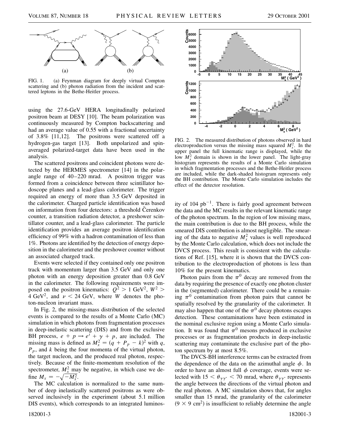

FIG. 1. (a) Feynman diagram for deeply virtual Compton scattering and (b) photon radiation from the incident and scattered leptons in the Bethe-Heitler process.

using the 27.6-GeV HERA longitudinally polarized positron beam at DESY [10]. The beam polarization was continuously measured by Compton backscattering and had an average value of 0.55 with a fractional uncertainty of 3.8% [11,12]. The positrons were scattered off a hydrogen-gas target [13]. Both unpolarized and spinaveraged polarized-target data have been used in the analysis.

The scattered positrons and coincident photons were detected by the HERMES spectrometer [14] in the polarangle range of 40–220 mrad. A positron trigger was formed from a coincidence between three scintillator hodoscope planes and a lead-glass calorimeter. The trigger required an energy of more than 3.5 GeV deposited in the calorimeter. Charged particle identification was based on information from four detectors: a threshold Cerenkov ˘ counter, a transition radiation detector, a preshower scintillator counter, and a lead-glass calorimeter. The particle identification provides an average positron identification efficiency of 99% with a hadron contamination of less than 1%. Photons are identified by the detection of energy deposition in the calorimeter and the preshower counter without an associated charged track.

Events were selected if they contained only one positron track with momentum larger than 3.5 GeV and only one photon with an energy deposition greater than 0.8 GeV in the calorimeter. The following requirements were imposed on the positron kinematics:  $Q^2 > 1$  GeV<sup>2</sup>,  $W^2 >$ 4 GeV<sup>2</sup>, and  $\nu < 24$  GeV, where *W* denotes the photon-nucleon invariant mass.

In Fig. 2, the missing-mass distribution of the selected events is compared to the results of a Monte Carlo (MC) simulation in which photons from fragmentation processes in deep-inelastic scattering (DIS) and from the exclusive BH process,  $e + p \rightarrow e' + \gamma + p$ , are included. The missing mass is defined as  $M_x^2 = (q + P_p - k)^2$  with *q*,  $P_p$ , and *k* being the four momenta of the virtual photon, the target nucleon, and the produced real photon, respectively. Because of the finite-momentum resolution of the spectrometer,  $M_x^2$  may be negative, in which case we define  $M_x = -\sqrt{-M_x^2}$ .

The MC calculation is normalized to the same number of deep inelastically scattered positrons as were observed inclusively in the experiment (about 5.1 million DIS events), which corresponds to an integrated luminos-



FIG. 2. The measured distribution of photons observed in hard electroproduction versus the missing mass squared  $M_x^2$ . In the upper panel the full kinematic range is displayed, while the low  $M_x^2$  domain is shown in the lower panel. The light-gray histogram represents the results of a Monte Carlo simulation in which fragmentation processes and the Bethe-Heitler process are included, while the dark-shaded histogram represents only the BH contribution. The Monte Carlo simulation includes the effect of the detector resolution.

ity of 104  $pb^{-1}$ . There is fairly good agreement between the data and the MC results in the relevant kinematic range of the photon spectrum. In the region of low missing mass, the main contribution is due to the BH process, while the smeared DIS contribution is almost negligible. The smearing of the data to negative  $M_x^2$  values is well reproduced by the Monte Carlo calculation, which does not include the DVCS process. This result is consistent with the calculations of Ref. [15], where it is shown that the DVCS contribution to the electroproduction of photons is less than 10% for the present kinematics.

Photon pairs from the  $\pi^0$  decay are removed from the data by requiring the presence of exactly one photon cluster in the (segmented) calorimeter. There could be a remaining  $\pi^0$  contamination from photon pairs that cannot be spatially resolved by the granularity of the calorimeter. It may also happen that one of the  $\pi^0$  decay photons escapes detection. These contaminations have been estimated in the nominal exclusive region using a Monte Carlo simulation. It was found that  $\pi^0$  mesons produced in exclusive processes or as fragmentation products in deep-inelastic scattering may contaminate the exclusive part of the photon spectrum by at most 8.5%.

The DVCS-BH interference terms can be extracted from the dependence of the data on the azimuthal angle  $\phi$ . In order to have an almost full  $\phi$  coverage, events were selected with  $15 < \theta_{\gamma \gamma^*} < 70$  mrad, where  $\theta_{\gamma \gamma^*}$  represents the angle between the directions of the virtual photon and the real photon. A MC simulation shows that, for angles smaller than 15 mrad, the granularity of the calorimeter  $(9 \times 9 \text{ cm}^2)$  is insufficient to reliably determine the angle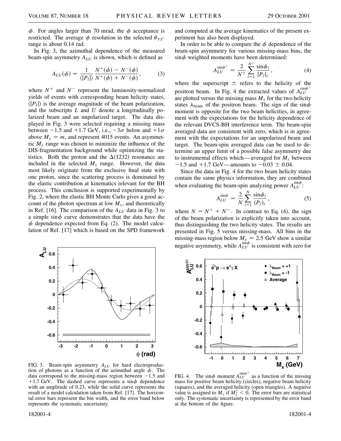$\phi$ . For angles larger than 70 mrad, the  $\phi$  acceptance is restricted. The average  $\phi$  resolution in the selected  $\theta_{\gamma\gamma^*}$ range is about 0.14 rad.

In Fig. 3, the azimuthal dependence of the measured beam-spin asymmetry *ALU* is shown, which is defined as

$$
A_{LU}(\phi) = \frac{1}{\langle |P_l| \rangle} \frac{N^+(\phi) - N^-(\phi)}{N^+(\phi) + N^-(\phi)},
$$
 (3)

where  $N^+$  and  $N^-$  represent the luminosity-normalized yields of events with corresponding beam helicity states,  $\langle |P_l| \rangle$  is the average magnitude of the beam polarization, and the subscripts *L* and *U* denote a longitudinally polarized beam and an unpolarized target. The data displayed in Fig. 3 were selected requiring a missing mass between  $-1.5$  and  $+1.7$  GeV, i.e.,  $-3\sigma$  below and  $+1\sigma$ above  $M_x = m$ , and represent 4015 events. An asymmetric  $M_x$  range was chosen to minimize the influence of the DIS-fragmentation background while optimizing the statistics. Both the proton and the  $\Delta(1232)$  resonance are included in the selected  $M_x$  range. However, the data most likely originate from the exclusive final state with one proton, since the scattering process is dominated by the elastic contribution at kinematics relevant for the BH process. This conclusion is supported experimentally by Fig. 2, where the elastic BH Monte Carlo gives a good account of the photon spectrum at low  $M<sub>x</sub>$ , and theoretically in Ref. [16]. The comparison of the *ALU* data in Fig. 3 to a simple sin $\phi$  curve demonstrates that the data have the  $\phi$  dependence expected from Eq. (2). The model calculation of Ref. [17] which is based on the SPD framework



FIG. 3. Beam-spin asymmetry *ALU* for hard electroproduction of photons as a function of the azimuthal angle  $\phi$ . The data correspond to the missing-mass region between  $-1.5$  and +1.7 GeV. The dashed curve represents a sin $\phi$  dependence with an amplitude of 0.23, while the solid curve represents the result of a model calculation taken from Ref. [17]. The horizontal error bars represent the bin width, and the error band below represents the systematic uncertainty.

and computed at the average kinematics of the present experiment has also been displayed.

In order to be able to compare the  $\phi$  dependence of the beam-spin asymmetry for various missing-mass bins, the  $\sin \phi$  weighted moments have been determined:

$$
A_{LU}^{\sin\phi^{\pm}} = \frac{2}{N^{\pm}} \sum_{i=1}^{N^{\pm}} \frac{\sin\phi_i}{|P_i|_i},
$$
 (4)

where the superscript  $\pm$  refers to the helicity of the positron beam. In Fig. 4 the extracted values of  $A_{LU}^{\sin\phi^{\pm}}$ *LU* are plotted versus the missing mass  $M_x$  for the two helicity states  $\lambda_{\text{beam}}$  of the positron beam. The sign of the sin $\phi$ moment is opposite for the two beam helicities, in agreement with the expectations for the helicity dependence of the relevant DVCS-BH interference term. The beam-spin averaged data are consistent with zero, which is in agreement with the expectations for an unpolarized beam and target. The beam-spin averaged data can be used to determine an upper limit of a possible false asymmetry due to instrumental effects which—averaged for  $M_x$  between  $-1.5$  and  $+1.7$  GeV—amounts to  $-0.03 \pm 0.04$ .

Since the data in Fig. 4 for the two beam helicity states contain the same physics information, they are combined when evaluating the beam-spin analyzing power  $A_{LU}^{\sin\phi}$ :

$$
A_{LU}^{\sin\phi} = \frac{2}{N} \sum_{i=1}^{N} \frac{\sin\phi_i}{(P_l)_i}, \qquad (5)
$$

where  $N = N^+ + N^-$ . In contrast to Eq. (4), the sign of the beam polarization is explicitly taken into account, thus distinguishing the two helicity states. The results are presented in Fig. 5 versus missing-mass. All bins in the missing-mass region below  $M_x \approx 2.5$  GeV show a similar negative asymmetry, while  $A_{LU}^{\sin\phi}$  is consistent with zero for



FIG. 4. The sin $\phi$  moment  $A_{LU}^{\sin\phi^{\pm}}$  as a function of the missing mass for positive beam helicity (circles), negative beam helicity (squares), and the averaged helicity (open triangles). A negative value is assigned to  $M_x$  if  $M_x^2 < 0$ . The error bars are statistical only. The systematic uncertainty is represented by the error band at the bottom of the figure.